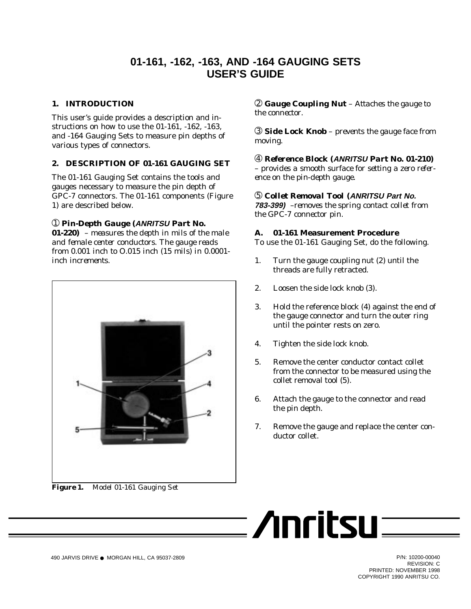# **01-161, -162, -163, AND -164 GAUGING SETS USER'S GUIDE**

# **1. INTRODUCTION**

This user's guide provides a description and instructions on how to use the 01-161, -162, -163, and -164 Gauging Sets to measure pin depths of various types of connectors.

### **2. DESCRIPTION OF 01-161 GAUGING SET**

The 01-161 Gauging Set contains the tools and gauges necessary to measure the pin depth of GPC-7 connectors. The 01-161 components (Figure 1) are described below.

### ➀ *Pin-Depth Gauge (***ANRITSU** *Part No.*

*01-220) – measures the depth in mils of the male and female center conductors. The gauge reads from 0.001 inch to O.015 inch (15 mils) in 0.0001 inch increments.*



*Figure 1. Model 01-161 Gauging Set*

➁ *Gauge Coupling Nut – Attaches the gauge to the connector.*

➂ *Side Lock Knob – prevents the gauge face from moving.*

➃ *Reference Block (***ANRITSU** *Part No. 01-210) – provides a smooth surface for setting a zero reference on the pin-depth gauge.*

➄ *Collet Removal Tool (***ANRITSU Part No. 783-399)** *–removes the spring contact collet from the GPC-7 connector pin.*

#### **A. 01-161 Measurement Procedure**

To use the 01-161 Gauging Set, do the following.

- 1. Turn the gauge coupling nut (2) until the threads are fully retracted.
- 2. Loosen the side lock knob (3).
- 3. Hold the reference block (4) against the end of the gauge connector and turn the outer ring until the pointer rests on zero.
- 4. Tighten the side lock knob.
- 5. Remove the center conductor contact collet from the connector to be measured using the collet removal tool (5).
- 6. Attach the gauge to the connector and read the pin depth.
- 7. Remove the gauge and replace the center conductor collet.



REVISION: C PRINTED: NOVEMBER 1998 COPYRIGHT 1990 ANRITSU CO.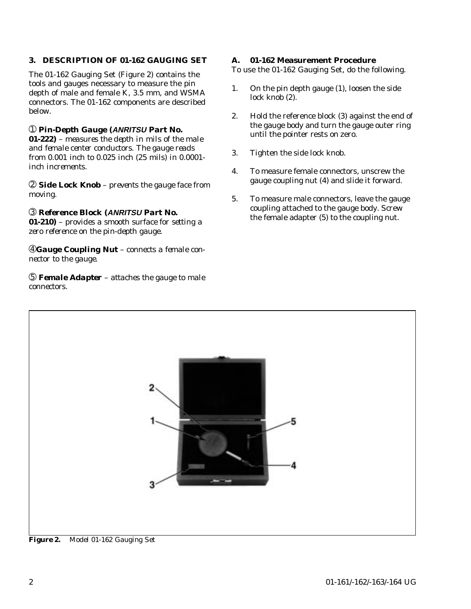## **3. DESCRIPTION OF 01-162 GAUGING SET**

The 01-162 Gauging Set (Figure 2) contains the tools and gauges necessary to measure the pin depth of male and female K, 3.5 mm, and WSMA connectors. The 01-162 components are described below.

# ➀ *Pin-Depth Gauge (***ANRITSU** *Part No.*

*01-222) – measures the depth in mils of the male and female center conductors. The gauge reads from 0.001 inch to 0.025 inch (25 mils) in 0.0001 inch increments.*

➁ *Side Lock Knob – prevents the gauge face from moving.*

# ➂ *Reference Block (***ANRITSU** *Part No.*

*01-210) – provides a smooth surface for setting a zero reference on the pin-depth gauge.*

➃*Gauge Coupling Nut – connects a female connector to the gauge.*

➄ *Female Adapter – attaches the gauge to male connectors.*

#### **A. 01-162 Measurement Procedure**

To use the 01-162 Gauging Set, do the following.

- 1. On the pin depth gauge (1), loosen the side lock knob (2).
- 2. Hold the reference block (3) against the end of the gauge body and turn the gauge outer ring until the pointer rests on zero.
- 3. Tighten the side lock knob.
- 4. To measure female connectors, unscrew the gauge coupling nut (4) and slide it forward.
- 5. To measure male connectors, leave the gauge coupling attached to the gauge body. Screw the female adapter (5) to the coupling nut.



*Figure 2. Model 01-162 Gauging Set*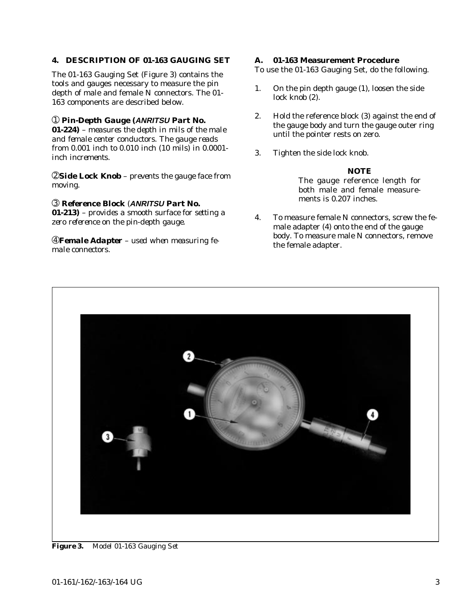#### **4. DESCRIPTION OF 01-163 GAUGING SET**

The 01-163 Gauging Set (Figure 3) contains the tools and gauges necessary to measure the pin depth of male and female N connectors. The 01- 163 components are described below.

#### ➀ *Pin-Depth Gauge (***ANRITSU** *Part No.*

*01-224) – measures the depth in mils of the male and female center conductors. The gauge reads from 0.001 inch to 0.010 inch (10 mils) in 0.0001 inch increments.*

➁*Side Lock Knob – prevents the gauge face from moving.*

#### ➂ *Reference Block (***ANRITSU** *Part No.*

*01-213) – provides a smooth surface for setting a zero reference on the pin-depth gauge.*

➃*Female Adapter – used when measuring female connectors.*

#### **A. 01-163 Measurement Procedure**

To use the 01-163 Gauging Set, do the following.

- 1. On the pin depth gauge (1), loosen the side lock knob (2).
- 2. Hold the reference block (3) against the end of the gauge body and turn the gauge outer ring until the pointer rests on zero.
- 3. Tighten the side lock knob.

#### *NOTE*

The gauge reference length for both male and female measurements is 0.207 inches.

4. To measure female N connectors, screw the female adapter (4) onto the end of the gauge body. To measure male N connectors, remove the female adapter.



*Figure 3. Model 01-163 Gauging Set*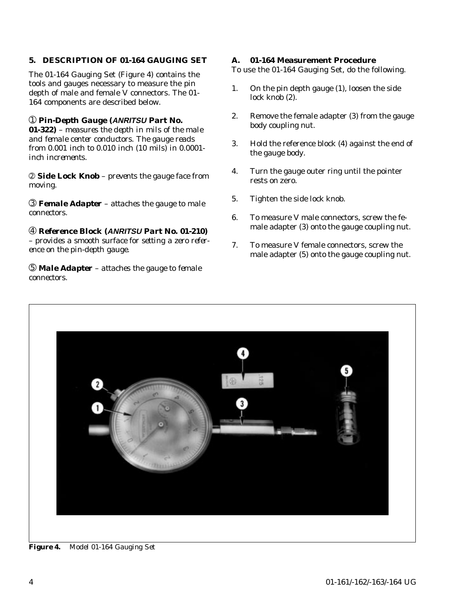## **5. DESCRIPTION OF 01-164 GAUGING SET**

The 01-164 Gauging Set (Figure 4) contains the tools and gauges necessary to measure the pin depth of male and female V connectors. The 01- 164 components are described below.

#### ➀ *Pin-Depth Gauge (***ANRITSU** *Part No.*

*01-322) – measures the depth in mils of the male and female center conductors. The gauge reads from 0.001 inch to 0.010 inch (10 mils) in 0.0001 inch increments.*

➁ *Side Lock Knob – prevents the gauge face from moving.*

➂ *Female Adapter – attaches the gauge to male connectors.*

➃ *Reference Block (***ANRITSU** *Part No. 01-210) – provides a smooth surface for setting a zero reference on the pin-depth gauge.*

➄ *Male Adapter – attaches the gauge to female connectors.*

#### **A. 01-164 Measurement Procedure**

To use the 01-164 Gauging Set, do the following.

- 1. On the pin depth gauge (1), loosen the side lock knob (2).
- 2. Remove the female adapter (3) from the gauge body coupling nut.
- 3. Hold the reference block (4) against the end of the gauge body.
- 4. Turn the gauge outer ring until the pointer rests on zero.
- 5. Tighten the side lock knob.
- 6. To measure V male connectors, screw the female adapter (3) onto the gauge coupling nut.
- 7. To measure V female connectors, screw the male adapter (5) onto the gauge coupling nut.



*Figure 4. Model 01-164 Gauging Set*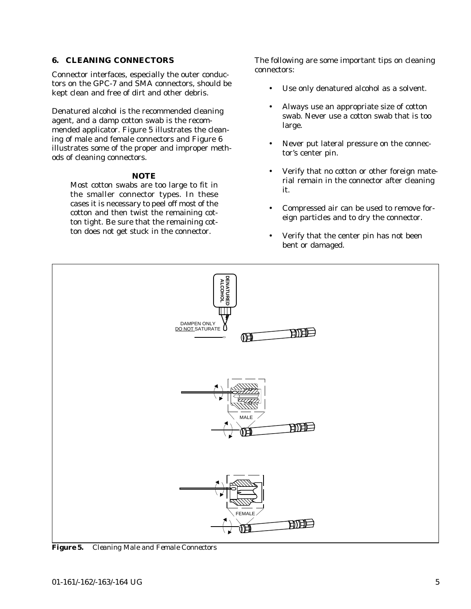#### **6. CLEANING CONNECTORS**

Connector interfaces, especially the outer conductors on the GPC-7 and SMA connectors, should be kept clean and free of dirt and other debris.

Denatured alcohol is the recommended cleaning agent, and a damp cotton swab is the recommended applicator. Figure 5 illustrates the cleaning of male and female connectors and Figure 6 illustrates some of the proper and improper methods of cleaning connectors.

### *NOTE*

Most cotton swabs are too large to fit in the smaller connector types. In these cases it is necessary to peel off most of the cotton and then twist the remaining cotton tight. Be sure that the remaining cotton does not get stuck in the connector.

The following are some important tips on cleaning connectors:

- Use only denatured alcohol as a solvent.
- Always use an appropriate size of cotton swab. Never use a cotton swab that is too large.
- Never put lateral pressure on the connector's center pin.
- Verify that no cotton or other foreign material remain in the connector after cleaning it.
- Compressed air can be used to remove foreign particles and to dry the connector.
- Verify that the center pin has not been bent or damaged.



*Figure 5. Cleaning Male and Female Connectors*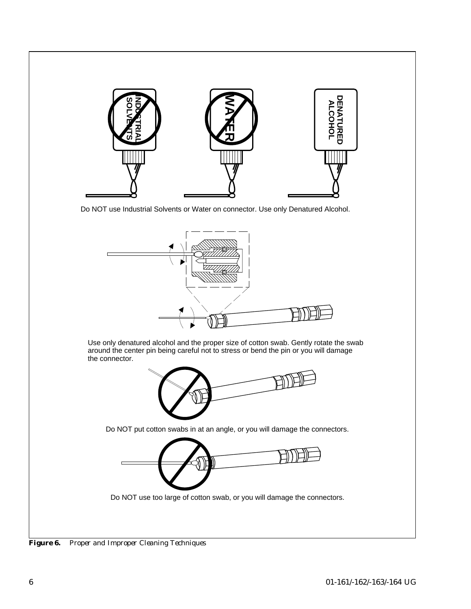

Do NOT use Industrial Solvents or Water on connector. Use only Denatured Alcohol.



*Figure 6. Proper and Improper Cleaning Techniques*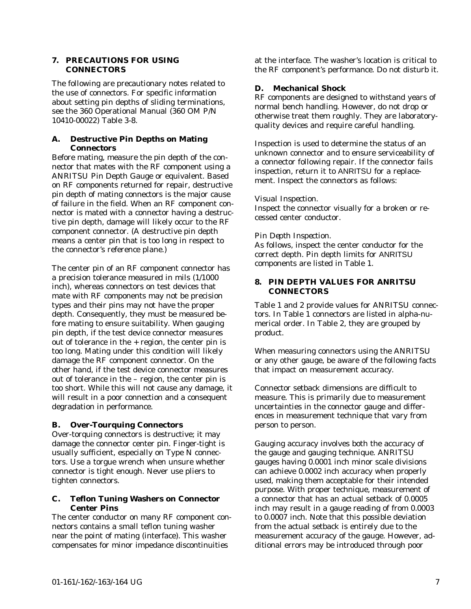#### **7. PRECAUTIONS FOR USING CONNECTORS**

The following are precautionary notes related to the use of connectors. For specific information about setting pin depths of sliding terminations, see the 360 Operational Manual (360 OM P/N 10410-00022) Table 3-8.

#### **A. Destructive Pin Depths on Mating Connectors**

Before mating, measure the pin depth of the connector that mates with the RF component using a ANRITSU Pin Depth Gauge or equivalent. Based on RF components returned for repair, destructive pin depth of mating connectors is the major cause of failure in the field. When an RF component connector is mated with a connector having a destructive pin depth, damage will likely occur to the RF component connector. (A destructive pin depth means a center pin that is too long in respect to the connector's reference plane.)

The center pin of an RF component connector has a precision tolerance measured in mils (1/1000 inch), whereas connectors on test devices that mate with RF components may not be precision types and their pins may not have the proper depth. Consequently, they must be measured before mating to ensure suitability. When gauging pin depth, if the test device connector measures out of tolerance in the  $+$  region, the center pin is too long. Mating under this condition will likely damage the RF component connector. On the other hand, if the test device connector measures out of tolerance in the – region, the center pin is too short. While this will not cause any damage, it will result in a poor connection and a consequent degradation in performance.

### **B. Over-Tourquing Connectors**

Over-torquing connectors is destructive; it may damage the connector center pin. Finger-tight is usually sufficient, especially on Type N connectors. Use a torgue wrench when unsure whether connector is tight enough. Never use pliers to tighten connectors.

### **C. Teflon Tuning Washers on Connector Center Pins**

The center conductor on many RF component connectors contains a small teflon tuning washer near the point of mating (interface). This washer compensates for minor impedance discontinuities

at the interface. The washer's location is critical to the RF component's performance. Do not disturb it.

#### **D. Mechanical Shock**

RF components are designed to withstand years of normal bench handling. However, do not drop or otherwise treat them roughly. They are laboratoryquality devices and require careful handling.

Inspection is used to determine the status of an unknown connector and to ensure serviceability of a connector following repair. If the connector fails inspection, return it to ANRITSU for a replacement. Inspect the connectors as follows:

#### *Visual Inspection.*

Inspect the connector visually for a broken or recessed center conductor.

#### *Pin Depth Inspection.*

As follows, inspect the center conductor for the correct depth. Pin depth limits for ANRITSU components are listed in Table 1.

#### **8. PIN DEPTH VALUES FOR ANRITSU CONNECTORS**

Table 1 and 2 provide values for ANRITSU connectors. In Table 1 connectors are listed in alpha-numerical order. In Table 2, they are grouped by product.

When measuring connectors using the ANRITSU or any other gauge, be aware of the following facts that impact on measurement accuracy.

Connector setback dimensions are difficult to measure. This is primarily due to measurement uncertainties in the connector gauge and differences in measurement technique that vary from person to person.

Gauging accuracy involves both the accuracy of the gauge and gauging technique. ANRITSU gauges having 0.0001 inch minor scale divisions can achieve 0.0002 inch accuracy when properly used, making them acceptable for their intended purpose. With proper technique, measurement of a connector that has an actual setback of 0.0005 inch may result in a gauge reading of from 0.0003 to 0.0007 inch. Note that this possible deviation from the actual setback is entirely due to the measurement accuracy of the gauge. However, additional errors may be introduced through poor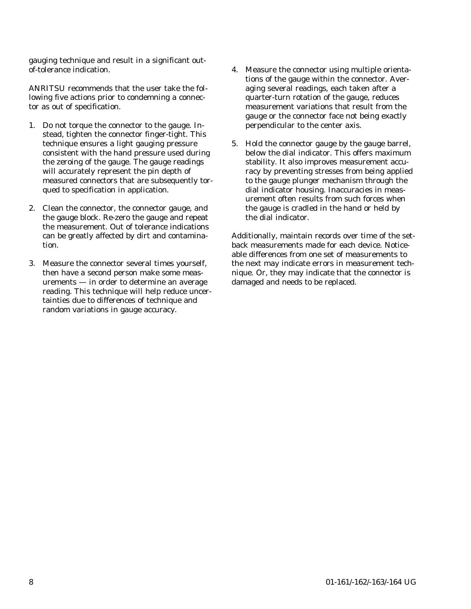gauging technique and result in a significant outof-tolerance indication.

ANRITSU recommends that the user take the following five actions prior to condemning a connector as out of specification.

- 1. Do not torque the connector to the gauge. Instead, tighten the connector finger-tight. This technique ensures a light gauging pressure consistent with the hand pressure used during the zeroing of the gauge. The gauge readings will accurately represent the pin depth of measured connectors that are subsequently torqued to specification in application.
- 2. Clean the connector, the connector gauge, and the gauge block. Re-zero the gauge and repeat the measurement. Out of tolerance indications can be greatly affected by dirt and contamination.
- 3. Measure the connector several times yourself, then have a second person make some measurements — in order to determine an average reading. This technique will help reduce uncertainties due to differences of technique and random variations in gauge accuracy.
- 4. Measure the connector using multiple orientations of the gauge within the connector. Averaging several readings, each taken after a quarter-turn rotation of the gauge, reduces measurement variations that result from the gauge or the connector face not being exactly perpendicular to the center axis.
- 5. Hold the connector gauge by the gauge barrel, below the dial indicator. This offers maximum stability. It also improves measurement accuracy by preventing stresses from being applied to the gauge plunger mechanism through the dial indicator housing. Inaccuracies in measurement often results from such forces when the gauge is cradled in the hand or held by the dial indicator.

Additionally, maintain records over time of the setback measurements made for each device. Noticeable differences from one set of measurements to the next may indicate errors in measurement technique. Or, they may indicate that the connector is damaged and needs to be replaced.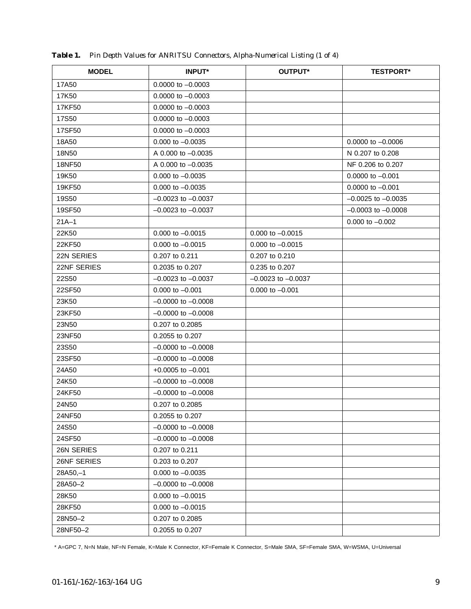| <b>MODEL</b> | <b>INPUT*</b>          | <b>OUTPUT*</b>         | <b>TESTPORT*</b>       |
|--------------|------------------------|------------------------|------------------------|
| 17A50        | $0.0000$ to $-0.0003$  |                        |                        |
| 17K50        | $0.0000$ to $-0.0003$  |                        |                        |
| 17KF50       | $0.0000$ to $-0.0003$  |                        |                        |
| 17S50        | $0.0000$ to $-0.0003$  |                        |                        |
| 17SF50       | 0.0000 to -0.0003      |                        |                        |
| 18A50        | $0.000$ to $-0.0035$   |                        | $0.0000$ to $-0.0006$  |
| 18N50        | A 0.000 to -0.0035     |                        | N 0.207 to 0.208       |
| 18NF50       | A 0.000 to -0.0035     |                        | NF 0.206 to 0.207      |
| 19K50        | $0.000$ to $-0.0035$   |                        | $0.0000$ to $-0.001$   |
| 19KF50       | $0.000$ to $-0.0035$   |                        | $0.0000$ to $-0.001$   |
| 19S50        | $-0.0023$ to $-0.0037$ |                        | $-0.0025$ to $-0.0035$ |
| 19SF50       | $-0.0023$ to $-0.0037$ |                        | $-0.0003$ to $-0.0008$ |
| $21A - 1$    |                        |                        | $0.000$ to $-0.002$    |
| 22K50        | $0.000$ to $-0.0015$   | 0.000 to $-0.0015$     |                        |
| 22KF50       | $0.000$ to $-0.0015$   | $0.000$ to $-0.0015$   |                        |
| 22N SERIES   | 0.207 to 0.211         | 0.207 to 0.210         |                        |
| 22NF SERIES  | 0.2035 to 0.207        | 0.235 to 0.207         |                        |
| 22S50        | $-0.0023$ to $-0.0037$ | $-0.0023$ to $-0.0037$ |                        |
| 22SF50       | $0.000$ to $-0.001$    | $0.000$ to $-0.001$    |                        |
| 23K50        | $-0.0000$ to $-0.0008$ |                        |                        |
| 23KF50       | $-0.0000$ to $-0.0008$ |                        |                        |
| 23N50        | 0.207 to 0.2085        |                        |                        |
| 23NF50       | 0.2055 to 0.207        |                        |                        |
| 23S50        | $-0.0000$ to $-0.0008$ |                        |                        |
| 23SF50       | $-0.0000$ to $-0.0008$ |                        |                        |
| 24A50        | $+0.0005$ to $-0.001$  |                        |                        |
| 24K50        | $-0.0000$ to $-0.0008$ |                        |                        |
| 24KF50       | $-0.0000$ to $-0.0008$ |                        |                        |
| 24N50        | 0.207 to 0.2085        |                        |                        |
| 24NF50       | 0.2055 to 0.207        |                        |                        |
| 24S50        | $-0.0000$ to $-0.0008$ |                        |                        |
| 24SF50       | $-0.0000$ to $-0.0008$ |                        |                        |
| 26N SERIES   | 0.207 to 0.211         |                        |                        |
| 26NF SERIES  | 0.203 to 0.207         |                        |                        |
| $28A50,-1$   | $0.000$ to $-0.0035$   |                        |                        |
| 28A50-2      | $-0.0000$ to $-0.0008$ |                        |                        |
| 28K50        | $0.000$ to $-0.0015$   |                        |                        |
| 28KF50       | $0.000$ to $-0.0015$   |                        |                        |
| 28N50-2      | 0.207 to 0.2085        |                        |                        |
| 28NF50-2     | 0.2055 to 0.207        |                        |                        |

*Table 1. Pin Depth Values for ANRITSU Connectors, Alpha-Numerical Listing (1 of 4)*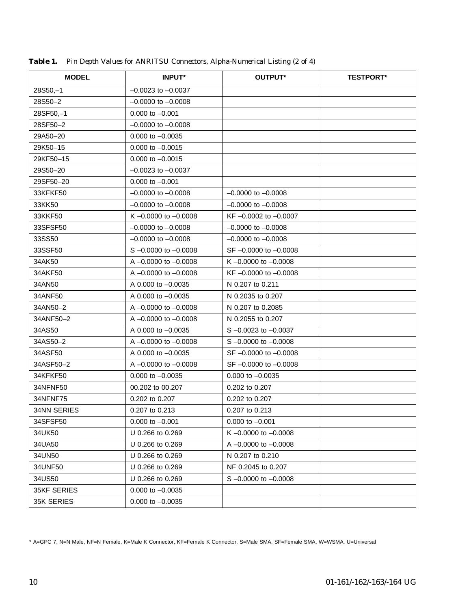| <b>MODEL</b>       | <b>INPUT*</b>             | OUTPUT*                   | <b>TESTPORT*</b> |
|--------------------|---------------------------|---------------------------|------------------|
| $28S50,-1$         | $-0.0023$ to $-0.0037$    |                           |                  |
| 28S50-2            | $-0.0000$ to $-0.0008$    |                           |                  |
| 28SF50,-1          | $0.000$ to $-0.001$       |                           |                  |
| 28SF50-2           | $-0.0000$ to $-0.0008$    |                           |                  |
| 29A50-20           | $0.000$ to $-0.0035$      |                           |                  |
| 29K50-15           | $0.000$ to $-0.0015$      |                           |                  |
| 29KF50-15          | $0.000$ to $-0.0015$      |                           |                  |
| 29S50-20           | $-0.0023$ to $-0.0037$    |                           |                  |
| 29SF50-20          | $0.000$ to $-0.001$       |                           |                  |
| 33KFKF50           | $-0.0000$ to $-0.0008$    | $-0.0000$ to $-0.0008$    |                  |
| 33KK50             | $-0.0000$ to $-0.0008$    | $-0.0000$ to $-0.0008$    |                  |
| 33KKF50            | K $-0.0000$ to $-0.0008$  | KF-0.0002 to -0.0007      |                  |
| 33SFSF50           | $-0.0000$ to $-0.0008$    | $-0.0000$ to $-0.0008$    |                  |
| 33SS50             | $-0.0000$ to $-0.0008$    | $-0.0000$ to $-0.0008$    |                  |
| 33SSF50            | $S - 0.0000$ to $-0.0008$ | SF-0.0000 to -0.0008      |                  |
| 34AK50             | A $-0.0000$ to $-0.0008$  | K $-0.0000$ to $-0.0008$  |                  |
| 34AKF50            | A $-0.0000$ to $-0.0008$  | KF $-0.0000$ to $-0.0008$ |                  |
| 34AN50             | A 0.000 to -0.0035        | N 0.207 to 0.211          |                  |
| 34ANF50            | A $0.000$ to $-0.0035$    | N 0.2035 to 0.207         |                  |
| 34AN50-2           | A $-0.0000$ to $-0.0008$  | N 0.207 to 0.2085         |                  |
| 34ANF50-2          | A $-0.0000$ to $-0.0008$  | N 0.2055 to 0.207         |                  |
| 34AS50             | A 0.000 to -0.0035        | $S - 0.0023$ to $-0.0037$ |                  |
| 34AS50-2           | A $-0.0000$ to $-0.0008$  | $S - 0.0000$ to $-0.0008$ |                  |
| 34ASF50            | A $0.000$ to $-0.0035$    | $SF -0.0000$ to $-0.0008$ |                  |
| 34ASF50-2          | A $-0.0000$ to $-0.0008$  | SF-0.0000 to -0.0008      |                  |
| 34KFKF50           | $0.000$ to $-0.0035$      | $0.000$ to $-0.0035$      |                  |
| 34NFNF50           | 00.202 to 00.207          | 0.202 to 0.207            |                  |
| 34NFNF75           | 0.202 to 0.207            | 0.202 to 0.207            |                  |
| 34NN SERIES        | 0.207 to 0.213            | 0.207 to 0.213            |                  |
| 34SFSF50           | $0.000$ to $-0.001$       | $0.000$ to $-0.001$       |                  |
| 34UK50             | U 0.266 to 0.269          | K $-0.0000$ to $-0.0008$  |                  |
| 34UA50             | U 0.266 to 0.269          | A -0.0000 to -0.0008      |                  |
| 34UN50             | U 0.266 to 0.269          | N 0.207 to 0.210          |                  |
| 34UNF50            | U 0.266 to 0.269          | NF 0.2045 to 0.207        |                  |
| 34US50             | U 0.266 to 0.269          | $S - 0.0000$ to $-0.0008$ |                  |
| <b>35KF SERIES</b> | $0.000$ to $-0.0035$      |                           |                  |
| 35K SERIES         | $0.000$ to $-0.0035$      |                           |                  |

*Table 1. Pin Depth Values for ANRITSU Connectors, Alpha-Numerical Listing (2 of 4)*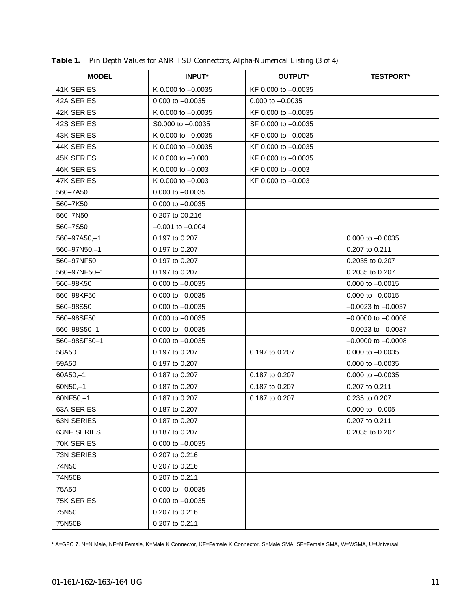| <b>MODEL</b>       | <b>INPUT*</b>          | OUTPUT*               | <b>TESTPORT*</b>       |
|--------------------|------------------------|-----------------------|------------------------|
| <b>41K SERIES</b>  | K 0.000 to $-0.0035$   | KF 0.000 to -0.0035   |                        |
| 42A SERIES         | $0.000$ to $-0.0035$   | $0.000$ to $-0.0035$  |                        |
| 42K SERIES         | K $0.000$ to $-0.0035$ | KF 0.000 to -0.0035   |                        |
| 42S SERIES         | $SO.000$ to $-0.0035$  | SF 0.000 to -0.0035   |                        |
| <b>43K SERIES</b>  | K 0.000 to $-0.0035$   | KF 0.000 to $-0.0035$ |                        |
| 44K SERIES         | K 0.000 to $-0.0035$   | KF 0.000 to -0.0035   |                        |
| <b>45K SERIES</b>  | K 0.000 to $-0.003$    | KF 0.000 to -0.0035   |                        |
| <b>46K SERIES</b>  | K 0.000 to $-0.003$    | KF 0.000 to -0.003    |                        |
| <b>47K SERIES</b>  | K 0.000 to -0.003      | KF 0.000 to -0.003    |                        |
| 560-7A50           | $0.000$ to $-0.0035$   |                       |                        |
| 560-7K50           | $0.000$ to $-0.0035$   |                       |                        |
| 560-7N50           | 0.207 to 00.216        |                       |                        |
| 560-7S50           | $-0.001$ to $-0.004$   |                       |                        |
| 560-97A50,-1       | 0.197 to 0.207         |                       | $0.000$ to $-0.0035$   |
| 560-97N50,-1       | 0.197 to 0.207         |                       | 0.207 to 0.211         |
| 560-97NF50         | 0.197 to 0.207         |                       | 0.2035 to 0.207        |
| 560-97NF50-1       | 0.197 to 0.207         |                       | 0.2035 to 0.207        |
| 560-98K50          | $0.000$ to $-0.0035$   |                       | $0.000$ to $-0.0015$   |
| 560-98KF50         | $0.000$ to $-0.0035$   |                       | $0.000$ to $-0.0015$   |
| 560-98S50          | $0.000$ to $-0.0035$   |                       | $-0.0023$ to $-0.0037$ |
| 560-98SF50         | $0.000$ to $-0.0035$   |                       | $-0.0000$ to $-0.0008$ |
| 560-98S50-1        | $0.000$ to $-0.0035$   |                       | $-0.0023$ to $-0.0037$ |
| 560-98SF50-1       | $0.000$ to $-0.0035$   |                       | $-0.0000$ to $-0.0008$ |
| 58A50              | 0.197 to 0.207         | 0.197 to 0.207        | $0.000$ to $-0.0035$   |
| 59A50              | 0.197 to 0.207         |                       | $0.000$ to $-0.0035$   |
| $60A50,-1$         | 0.187 to 0.207         | 0.187 to 0.207        | $0.000$ to $-0.0035$   |
| $60N50,-1$         | 0.187 to 0.207         | 0.187 to 0.207        | 0.207 to 0.211         |
| 60NF50,-1          | 0.187 to 0.207         | 0.187 to 0.207        | 0.235 to 0.207         |
| 63A SERIES         | 0.187 to 0.207         |                       | $0.000$ to $-0.005$    |
| <b>63N SERIES</b>  | 0.187 to 0.207         |                       | 0.207 to 0.211         |
| <b>63NF SERIES</b> | 0.187 to 0.207         |                       | 0.2035 to 0.207        |
| 70K SERIES         | $0.000$ to $-0.0035$   |                       |                        |
| 73N SERIES         | 0.207 to 0.216         |                       |                        |
| 74N50              | 0.207 to 0.216         |                       |                        |
| 74N50B             | 0.207 to 0.211         |                       |                        |
| 75A50              | $0.000$ to $-0.0035$   |                       |                        |
| 75K SERIES         | $0.000$ to $-0.0035$   |                       |                        |
| 75N50              | $0.207$ to $0.216$     |                       |                        |
| 75N50B             | 0.207 to 0.211         |                       |                        |

*Table 1. Pin Depth Values for ANRITSU Connectors, Alpha-Numerical Listing (3 of 4)*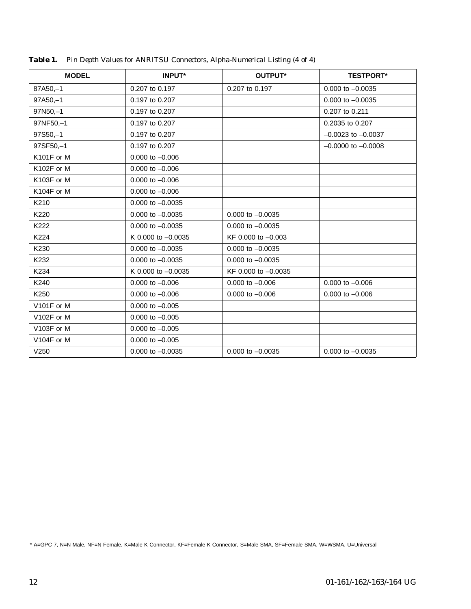| <b>MODEL</b> | <b>INPUT*</b>        | OUTPUT*              | <b>TESTPORT*</b>       |
|--------------|----------------------|----------------------|------------------------|
| 87A50,-1     | 0.207 to 0.197       | 0.207 to 0.197       | $0.000$ to $-0.0035$   |
| $97A50,-1$   | 0.197 to 0.207       |                      | $0.000$ to $-0.0035$   |
| $97N50,-1$   | 0.197 to 0.207       |                      | 0.207 to 0.211         |
| 97NF50,-1    | 0.197 to 0.207       |                      | 0.2035 to 0.207        |
| $97S50,-1$   | 0.197 to 0.207       |                      | $-0.0023$ to $-0.0037$ |
| 97SF50,-1    | 0.197 to 0.207       |                      | $-0.0000$ to $-0.0008$ |
| K101F or M   | $0.000$ to $-0.006$  |                      |                        |
| K102F or M   | $0.000$ to $-0.006$  |                      |                        |
| K103F or M   | $0.000$ to $-0.006$  |                      |                        |
| K104F or M   | $0.000$ to $-0.006$  |                      |                        |
| K210         | $0.000$ to $-0.0035$ |                      |                        |
| K220         | $0.000$ to $-0.0035$ | $0.000$ to $-0.0035$ |                        |
| K222         | $0.000$ to $-0.0035$ | $0.000$ to $-0.0035$ |                        |
| K224         | K 0.000 to -0.0035   | KF 0.000 to -0.003   |                        |
| K230         | $0.000$ to $-0.0035$ | $0.000$ to $-0.0035$ |                        |
| K232         | $0.000$ to $-0.0035$ | $0.000$ to $-0.0035$ |                        |
| K234         | K 0.000 to $-0.0035$ | KF 0.000 to -0.0035  |                        |
| K240         | $0.000$ to $-0.006$  | $0.000$ to $-0.006$  | $0.000$ to $-0.006$    |
| K250         | $0.000$ to $-0.006$  | $0.000$ to $-0.006$  | $0.000$ to $-0.006$    |
| V101F or M   | $0.000$ to $-0.005$  |                      |                        |
| V102F or M   | $0.000$ to $-0.005$  |                      |                        |
| V103F or M   | $0.000$ to $-0.005$  |                      |                        |
| V104F or M   | $0.000$ to $-0.005$  |                      |                        |
| V250         | $0.000$ to $-0.0035$ | $0.000$ to $-0.0035$ | $0.000$ to $-0.0035$   |
|              |                      |                      |                        |

*Table 1. Pin Depth Values for ANRITSU Connectors, Alpha-Numerical Listing (4 of 4)*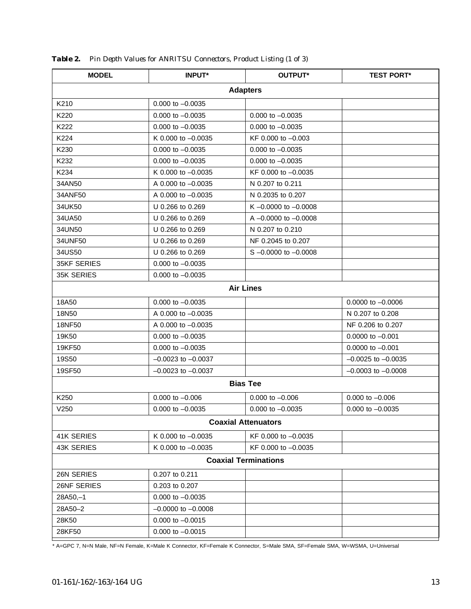| <b>MODEL</b>                | <b>INPUT*</b>          | OUTPUT*                   | <b>TEST PORT*</b>      |  |
|-----------------------------|------------------------|---------------------------|------------------------|--|
|                             |                        | <b>Adapters</b>           |                        |  |
| K210                        | $0.000$ to $-0.0035$   |                           |                        |  |
| K220                        | $0.000$ to $-0.0035$   | $0.000$ to $-0.0035$      |                        |  |
| K222                        | $0.000$ to $-0.0035$   | $0.000$ to $-0.0035$      |                        |  |
| K224                        | K 0.000 to $-0.0035$   | KF 0.000 to -0.003        |                        |  |
| K230                        | $0.000$ to $-0.0035$   | $0.000$ to $-0.0035$      |                        |  |
| K232                        | $0.000$ to $-0.0035$   | $0.000$ to $-0.0035$      |                        |  |
| K234                        | K 0.000 to -0.0035     | KF 0.000 to -0.0035       |                        |  |
| 34AN50                      | A 0.000 to -0.0035     | N 0.207 to 0.211          |                        |  |
| 34ANF50                     | A 0.000 to -0.0035     | N 0.2035 to 0.207         |                        |  |
| 34UK50                      | U 0.266 to 0.269       | K $-0.0000$ to $-0.0008$  |                        |  |
| 34UA50                      | U 0.266 to 0.269       | A $-0.0000$ to $-0.0008$  |                        |  |
| 34UN50                      | U 0.266 to 0.269       | N 0.207 to 0.210          |                        |  |
| 34UNF50                     | U 0.266 to 0.269       | NF 0.2045 to 0.207        |                        |  |
| 34US50                      | U 0.266 to 0.269       | $S - 0.0000$ to $-0.0008$ |                        |  |
| <b>35KF SERIES</b>          | $0.000$ to $-0.0035$   |                           |                        |  |
| 35K SERIES                  | $0.000$ to $-0.0035$   |                           |                        |  |
|                             |                        | <b>Air Lines</b>          |                        |  |
| 18A50                       | $0.000$ to $-0.0035$   |                           | $0.0000$ to $-0.0006$  |  |
| 18N50                       | A 0.000 to -0.0035     |                           | N 0.207 to 0.208       |  |
| 18NF50                      | A 0.000 to -0.0035     |                           | NF 0.206 to 0.207      |  |
| 19K50                       | $0.000$ to $-0.0035$   |                           | $0.0000$ to $-0.001$   |  |
| 19KF50                      | $0.000$ to $-0.0035$   |                           | $0.0000$ to $-0.001$   |  |
| 19S50                       | $-0.0023$ to $-0.0037$ |                           | $-0.0025$ to $-0.0035$ |  |
| 19SF50                      | $-0.0023$ to $-0.0037$ |                           | $-0.0003$ to $-0.0008$ |  |
| <b>Bias Tee</b>             |                        |                           |                        |  |
| K250                        | $0.000$ to $-0.006$    | $0.000$ to $-0.006$       | $0.000$ to $-0.006$    |  |
| V250                        | $0.000$ to $-0.0035$   | $0.000$ to $-0.0035$      | $0.000$ to $-0.0035$   |  |
| <b>Coaxial Attenuators</b>  |                        |                           |                        |  |
| 41K SERIES                  | K 0.000 to -0.0035     | KF 0.000 to -0.0035       |                        |  |
| <b>43K SERIES</b>           | K 0.000 to $-0.0035$   | KF 0.000 to -0.0035       |                        |  |
| <b>Coaxial Terminations</b> |                        |                           |                        |  |
| 26N SERIES                  | 0.207 to 0.211         |                           |                        |  |
| 26NF SERIES                 | 0.203 to 0.207         |                           |                        |  |
| $28A50,-1$                  | $0.000$ to $-0.0035$   |                           |                        |  |
| 28A50-2                     | $-0.0000$ to $-0.0008$ |                           |                        |  |
| 28K50                       | $0.000$ to $-0.0015$   |                           |                        |  |
| 28KF50                      | $0.000$ to $-0.0015$   |                           |                        |  |

*Table 2. Pin Depth Values for ANRITSU Connectors, Product Listing (1 of 3)*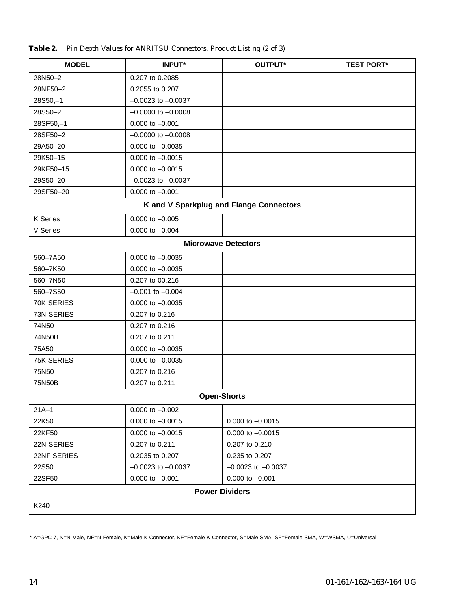| <b>MODEL</b>          | <b>INPUT*</b>          | OUTPUT*                                 | <b>TEST PORT*</b> |
|-----------------------|------------------------|-----------------------------------------|-------------------|
| 28N50-2               | 0.207 to 0.2085        |                                         |                   |
| 28NF50-2              | 0.2055 to 0.207        |                                         |                   |
| $28S50,-1$            | $-0.0023$ to $-0.0037$ |                                         |                   |
| 28S50-2               | $-0.0000$ to $-0.0008$ |                                         |                   |
| 28SF50,-1             | $0.000$ to $-0.001$    |                                         |                   |
| 28SF50-2              | $-0.0000$ to $-0.0008$ |                                         |                   |
| 29A50-20              | $0.000$ to $-0.0035$   |                                         |                   |
| 29K50-15              | $0.000$ to $-0.0015$   |                                         |                   |
| 29KF50-15             | $0.000$ to $-0.0015$   |                                         |                   |
| 29S50-20              | $-0.0023$ to $-0.0037$ |                                         |                   |
| 29SF50-20             | $0.000$ to $-0.001$    |                                         |                   |
|                       |                        | K and V Sparkplug and Flange Connectors |                   |
| K Series              | $0.000$ to $-0.005$    |                                         |                   |
| V Series              | 0.000 to $-0.004$      |                                         |                   |
|                       |                        | <b>Microwave Detectors</b>              |                   |
| 560-7A50              | $0.000$ to $-0.0035$   |                                         |                   |
| 560-7K50              | $0.000$ to $-0.0035$   |                                         |                   |
| 560-7N50              | 0.207 to 00.216        |                                         |                   |
| 560-7S50              | $-0.001$ to $-0.004$   |                                         |                   |
| 70K SERIES            | $0.000$ to $-0.0035$   |                                         |                   |
| 73N SERIES            | 0.207 to 0.216         |                                         |                   |
| 74N50                 | 0.207 to 0.216         |                                         |                   |
| 74N50B                | 0.207 to 0.211         |                                         |                   |
| 75A50                 | $0.000$ to $-0.0035$   |                                         |                   |
| 75K SERIES            | $0.000$ to $-0.0035$   |                                         |                   |
| 75N50                 | 0.207 to 0.216         |                                         |                   |
| 75N50B                | 0.207 to 0.211         |                                         |                   |
| <b>Open-Shorts</b>    |                        |                                         |                   |
| $21A - 1$             | $0.000$ to $-0.002$    |                                         |                   |
| 22K50                 | $0.000$ to $-0.0015$   | 0.000 to $-0.0015$                      |                   |
| 22KF50                | 0.000 to $-0.0015$     | 0.000 to $-0.0015$                      |                   |
| 22N SERIES            | 0.207 to 0.211         | 0.207 to 0.210                          |                   |
| 22NF SERIES           | 0.2035 to 0.207        | 0.235 to 0.207                          |                   |
| 22S50                 | $-0.0023$ to $-0.0037$ | $-0.0023$ to $-0.0037$                  |                   |
| 22SF50                | $0.000$ to $-0.001$    | $0.000$ to $-0.001$                     |                   |
| <b>Power Dividers</b> |                        |                                         |                   |
| K240                  |                        |                                         |                   |

*Table 2. Pin Depth Values for ANRITSU Connectors, Product Listing (2 of 3)*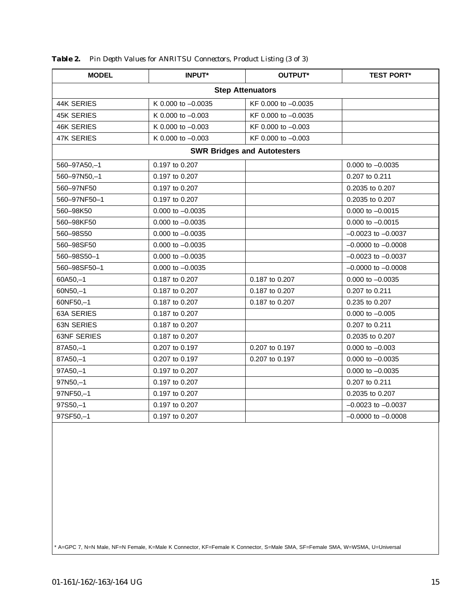| <b>MODEL</b>                                           | <b>INPUT*</b>        | OUTPUT*                            | <b>TEST PORT*</b>      |  |
|--------------------------------------------------------|----------------------|------------------------------------|------------------------|--|
| <b>Step Attenuators</b>                                |                      |                                    |                        |  |
| 44K SERIES                                             | K 0.000 to -0.0035   | KF 0.000 to -0.0035                |                        |  |
| <b>45K SERIES</b>                                      | K 0.000 to -0.003    | KF 0.000 to -0.0035                |                        |  |
| <b>46K SERIES</b>                                      | K 0.000 to $-0.003$  | KF 0.000 to -0.003                 |                        |  |
| <b>47K SERIES</b>                                      | K 0.000 to -0.003    | KF 0.000 to -0.003                 |                        |  |
|                                                        |                      | <b>SWR Bridges and Autotesters</b> |                        |  |
| 560-97A50,-1<br>0.197 to 0.207<br>$0.000$ to $-0.0035$ |                      |                                    |                        |  |
| 560-97N50,-1                                           | 0.197 to 0.207       |                                    | 0.207 to 0.211         |  |
| 560-97NF50                                             | 0.197 to 0.207       |                                    | 0.2035 to 0.207        |  |
| 560-97NF50-1                                           | 0.197 to 0.207       |                                    | 0.2035 to 0.207        |  |
| 560-98K50                                              | 0.000 to -0.0035     |                                    | $0.000$ to $-0.0015$   |  |
| 560-98KF50                                             | $0.000$ to $-0.0035$ |                                    | $0.000$ to $-0.0015$   |  |
| 560-98S50                                              | $0.000$ to $-0.0035$ |                                    | $-0.0023$ to $-0.0037$ |  |
| 560-98SF50                                             | $0.000$ to $-0.0035$ |                                    | $-0.0000$ to $-0.0008$ |  |
| 560-98S50-1                                            | $0.000$ to $-0.0035$ |                                    | $-0.0023$ to $-0.0037$ |  |
| 560-98SF50-1                                           | $0.000$ to $-0.0035$ |                                    | $-0.0000$ to $-0.0008$ |  |
| $60A50,-1$                                             | 0.187 to 0.207       | 0.187 to 0.207                     | $0.000$ to $-0.0035$   |  |
| $60N50,-1$                                             | 0.187 to 0.207       | 0.187 to 0.207                     | 0.207 to 0.211         |  |
| 60NF50,-1                                              | 0.187 to 0.207       | 0.187 to 0.207                     | 0.235 to 0.207         |  |
| 63A SERIES                                             | 0.187 to 0.207       |                                    | $0.000$ to $-0.005$    |  |
| <b>63N SERIES</b>                                      | 0.187 to 0.207       |                                    | 0.207 to 0.211         |  |
| <b>63NF SERIES</b>                                     | 0.187 to 0.207       |                                    | 0.2035 to 0.207        |  |
| 87A50,-1                                               | 0.207 to 0.197       | 0.207 to 0.197                     | $0.000$ to $-0.003$    |  |
| 87A50,-1                                               | 0.207 to 0.197       | 0.207 to 0.197                     | $0.000$ to $-0.0035$   |  |
| $97A50,-1$                                             | 0.197 to 0.207       |                                    | $0.000$ to $-0.0035$   |  |
| 97N50,-1                                               | 0.197 to 0.207       |                                    | 0.207 to 0.211         |  |
| 97NF50,-1                                              | 0.197 to 0.207       |                                    | 0.2035 to 0.207        |  |
| $97S50,-1$                                             | 0.197 to 0.207       |                                    | $-0.0023$ to $-0.0037$ |  |
| 97SF50,-1                                              | 0.197 to 0.207       |                                    | $-0.0000$ to $-0.0008$ |  |

*Table 2. Pin Depth Values for ANRITSU Connectors, Product Listing (3 of 3)*